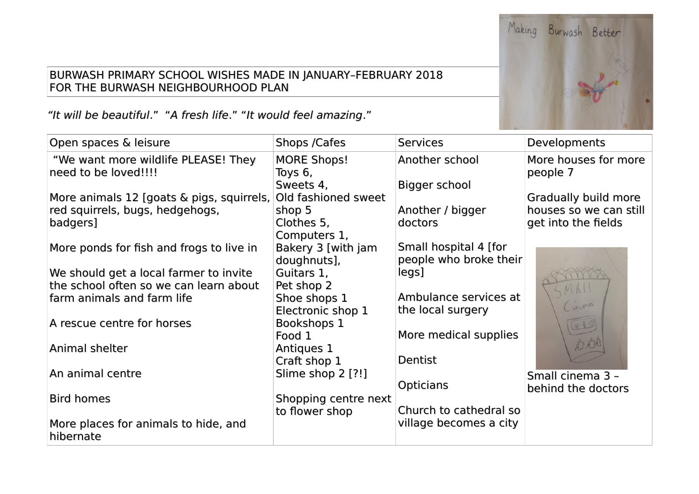## BURWASH PRIMARY SCHOOL WISHES MADE IN JANUARY–FEBRUARY 2018 FOR THE BURWASH NEIGHBOURHOOD PLAN

"It will be beautiful." "A fresh life." "It would feel amazing."

| Open spaces & leisure                                       | Shops /Cafes                  | <b>Services</b>        | Developments                     |
|-------------------------------------------------------------|-------------------------------|------------------------|----------------------------------|
| "We want more wildlife PLEASE! They<br>need to be loved!!!! | <b>MORE Shops!</b><br>Toys 6, | Another school         | More houses for more<br>people 7 |
|                                                             | Sweets 4,                     | Bigger school          |                                  |
| More animals 12 [goats & pigs, squirrels,                   | Old fashioned sweet           |                        | Gradually build more             |
| red squirrels, bugs, hedgehogs,                             | shop 5                        | Another / bigger       | houses so we can still           |
| badgers]                                                    | Clothes 5,                    | doctors                | get into the fields              |
|                                                             | Computers 1,                  |                        |                                  |
| More ponds for fish and frogs to live in                    | Bakery 3 [with jam            | Small hospital 4 [for  |                                  |
|                                                             | doughnuts],                   | people who broke their |                                  |
| We should get a local farmer to invite                      | Guitars 1,                    | legs]                  |                                  |
| the school often so we can learn about                      | Pet shop 2                    |                        |                                  |
| farm animals and farm life                                  | Shoe shops 1                  | Ambulance services at  | winna                            |
|                                                             | Electronic shop 1             | the local surgery      |                                  |
| A rescue centre for horses                                  | Bookshops 1                   |                        | 22                               |
|                                                             | Food 1                        | More medical supplies  |                                  |
| Animal shelter                                              | Antiques 1                    |                        |                                  |
|                                                             | Craft shop 1                  | Dentist                |                                  |
| An animal centre                                            | Slime shop 2 [?!]             |                        | Small cinema 3 -                 |
|                                                             |                               | <b>Opticians</b>       | behind the doctors               |
| <b>Bird homes</b>                                           | Shopping centre next          |                        |                                  |
|                                                             | to flower shop                | Church to cathedral so |                                  |
| More places for animals to hide, and<br>hibernate           |                               | village becomes a city |                                  |

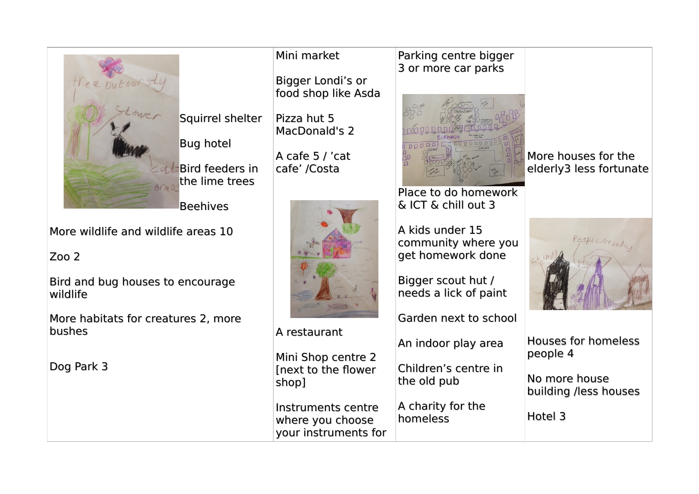

More wildlife and wildlife areas 10

Bird and bug houses to encourage

More habitats for creatures 2, more

## Mini market

Bigger Londi's or food shop like Asda

Pizza hut 5 MacDonald's 2

A cafe 5 / 'cat cafe' /Costa



A restaurant Mini Shop centre 2 [next to the fower shop]

Instruments centre where you choose your instruments for

## Parking centre bigger 3 or more car parks



Place to do homework & ICT & chill out 3

A kids under 15 community where you get homework done

Bigger scout hut / needs a lick of paint

Garden next to school

An indoor play area

Children's centre in the old pub

A charity for the homeless

More houses for the elderly3 less fortunate



Houses for homeless people 4

No more house building /less houses

Hotel 3

Dog Park 3

Zoo 2

wildlife

bushes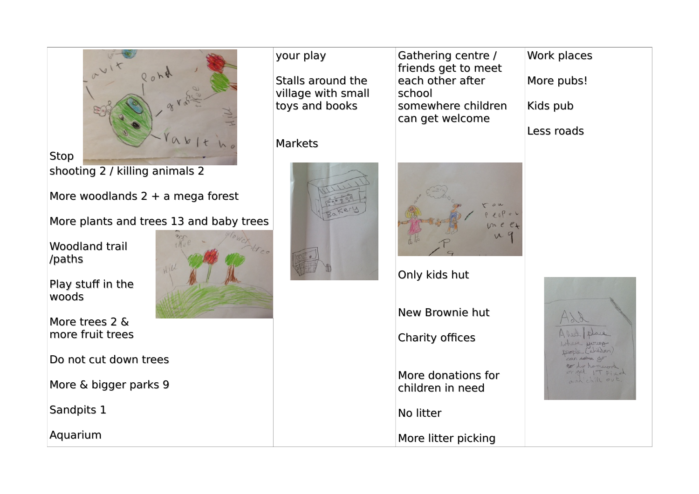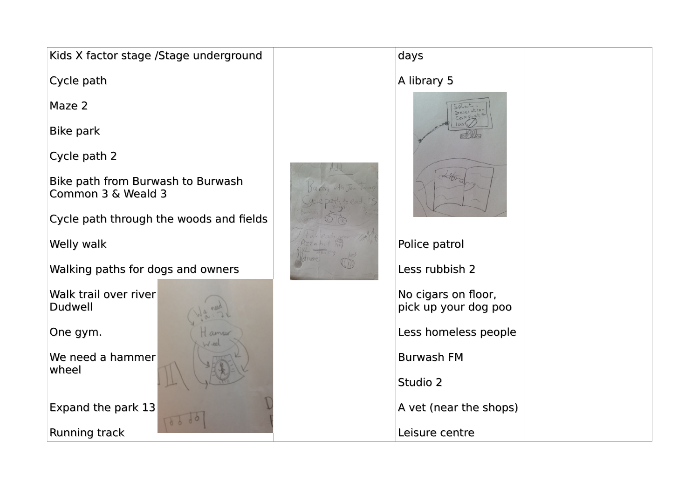| Kids X factor stage /Stage underground                  |  | days                                        |
|---------------------------------------------------------|--|---------------------------------------------|
| Cycle path                                              |  | A library 5                                 |
| Maze 2                                                  |  |                                             |
| <b>Bike park</b>                                        |  |                                             |
| Cycle path 2                                            |  |                                             |
| Bike path from Burwash to Burwash<br>Common 3 & Weald 3 |  |                                             |
| Cycle path through the woods and fields                 |  |                                             |
| Welly walk                                              |  | Police patrol                               |
| Walking paths for dogs and owners                       |  | Less rubbish 2                              |
| Walk trail over river<br><b>Dudwell</b>                 |  | No cigars on floor,<br>pick up your dog poo |
| One gym.                                                |  | Less homeless people                        |
| We need a hammer                                        |  | <b>Burwash FM</b>                           |
| wheel                                                   |  | Studio 2                                    |
| Expand the park 13                                      |  | A vet (near the shops)                      |
| Running track                                           |  | Leisure centre                              |
|                                                         |  |                                             |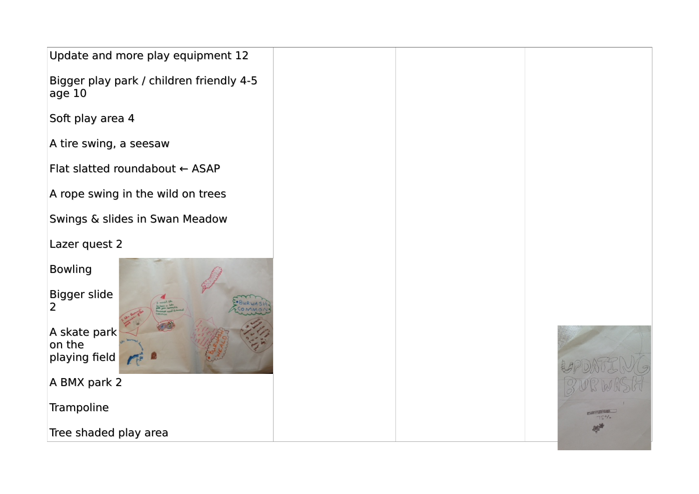| Update and more play equipment 12                  |  |
|----------------------------------------------------|--|
| Bigger play park / children friendly 4-5<br>age 10 |  |
| Soft play area 4                                   |  |
| A tire swing, a seesaw                             |  |
| Flat slatted roundabout ← ASAP                     |  |
| A rope swing in the wild on trees                  |  |
| Swings & slides in Swan Meadow                     |  |
| Lazer quest 2                                      |  |
| <b>Bowling</b><br>Bigger slide<br>$\overline{2}$   |  |
| A skate park<br>on the<br>playing field            |  |
| A BMX park 2                                       |  |
| Trampoline                                         |  |
| Tree shaded play area                              |  |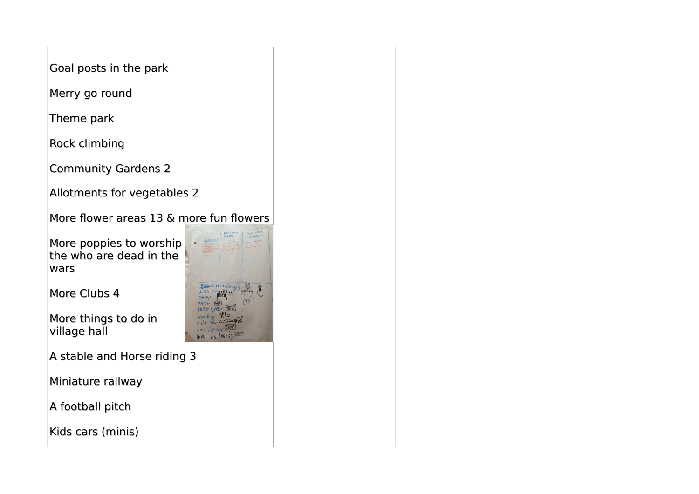| Goal posts in the park                                                  |  |
|-------------------------------------------------------------------------|--|
| Merry go round                                                          |  |
| Theme park                                                              |  |
| Rock climbing                                                           |  |
| <b>Community Gardens 2</b>                                              |  |
| Allotments for vegetables 2                                             |  |
| More flower areas 13 & more fun flowers                                 |  |
| · Burwash<br>More poppies to worship<br>the who are dead in the<br>wars |  |
| More Clubs 4                                                            |  |
| More things to do in<br>village hall<br>Kids (Ns                        |  |
| A stable and Horse riding 3                                             |  |
| Miniature railway                                                       |  |
| A football pitch                                                        |  |
| Kids cars (minis)                                                       |  |